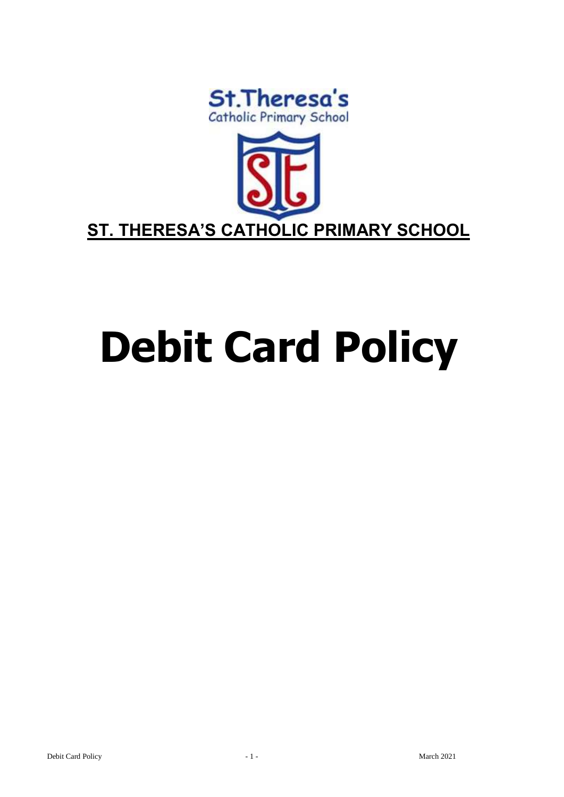



## **Debit Card Policy**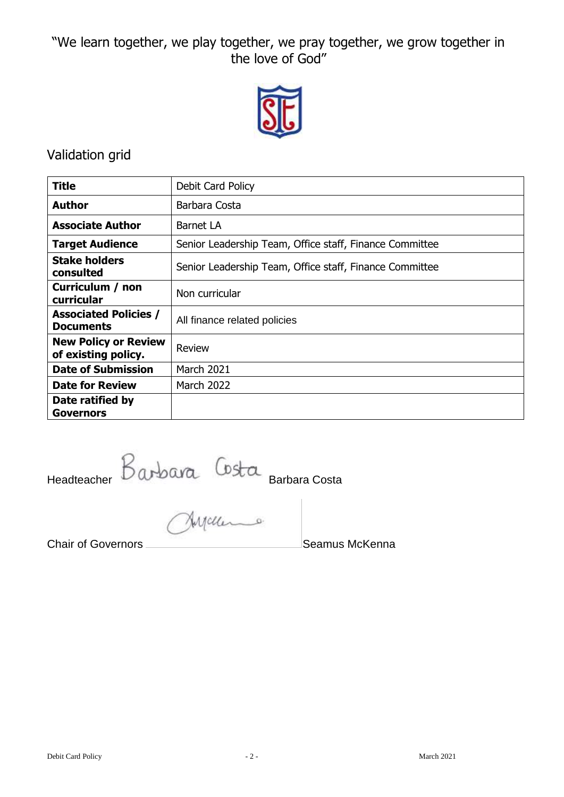"We learn together, we play together, we pray together, we grow together in the love of God"



## Validation grid

| <b>Title</b>                                       | Debit Card Policy                                       |
|----------------------------------------------------|---------------------------------------------------------|
| Author                                             | Barbara Costa                                           |
| <b>Associate Author</b>                            | Barnet LA                                               |
| <b>Target Audience</b>                             | Senior Leadership Team, Office staff, Finance Committee |
| <b>Stake holders</b><br>consulted                  | Senior Leadership Team, Office staff, Finance Committee |
| Curriculum / non<br>curricular                     | Non curricular                                          |
| <b>Associated Policies /</b><br><b>Documents</b>   | All finance related policies                            |
| <b>New Policy or Review</b><br>of existing policy. | Review                                                  |
| <b>Date of Submission</b>                          | <b>March 2021</b>                                       |
| <b>Date for Review</b>                             | <b>March 2022</b>                                       |
| Date ratified by<br><b>Governors</b>               |                                                         |

Headteacher Barbara Costa

**Chair of Governors** Chair Chair Chair Chair Chair Chair Chair Chair Chair Chair Chair Chair Chair Chair Chair Chair Chair Chair Chair Chair Chair Chair Chair Chair Chair Chair Chair Chair Chair Chair Chair Chair Chair Cha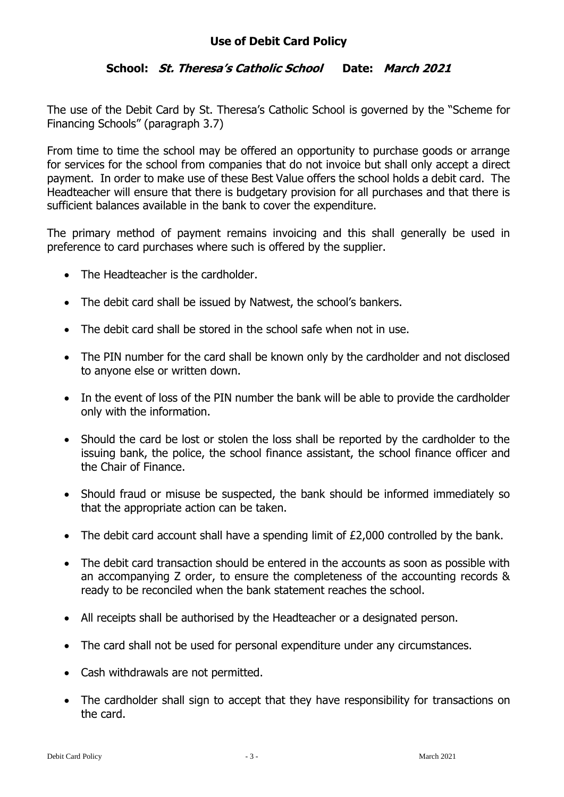## **School: St. Theresa's Catholic School Date: March 2021**

The use of the Debit Card by St. Theresa's Catholic School is governed by the "Scheme for Financing Schools" (paragraph 3.7)

From time to time the school may be offered an opportunity to purchase goods or arrange for services for the school from companies that do not invoice but shall only accept a direct payment. In order to make use of these Best Value offers the school holds a debit card. The Headteacher will ensure that there is budgetary provision for all purchases and that there is sufficient balances available in the bank to cover the expenditure.

The primary method of payment remains invoicing and this shall generally be used in preference to card purchases where such is offered by the supplier.

- The Headteacher is the cardholder.
- The debit card shall be issued by Natwest, the school's bankers.
- The debit card shall be stored in the school safe when not in use.
- The PIN number for the card shall be known only by the cardholder and not disclosed to anyone else or written down.
- In the event of loss of the PIN number the bank will be able to provide the cardholder only with the information.
- Should the card be lost or stolen the loss shall be reported by the cardholder to the issuing bank, the police, the school finance assistant, the school finance officer and the Chair of Finance.
- Should fraud or misuse be suspected, the bank should be informed immediately so that the appropriate action can be taken.
- The debit card account shall have a spending limit of £2,000 controlled by the bank.
- The debit card transaction should be entered in the accounts as soon as possible with an accompanying Z order, to ensure the completeness of the accounting records & ready to be reconciled when the bank statement reaches the school.
- All receipts shall be authorised by the Headteacher or a designated person.
- The card shall not be used for personal expenditure under any circumstances.
- Cash withdrawals are not permitted.
- The cardholder shall sign to accept that they have responsibility for transactions on the card.